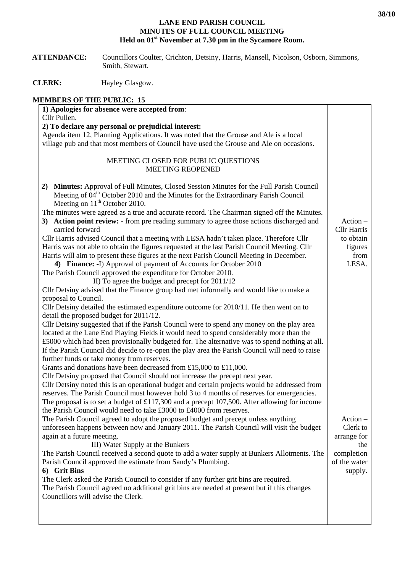## **LANE END PARISH COUNCIL MINUTES OF FULL COUNCIL MEETING Held on 01st November at 7.30 pm in the Sycamore Room.**

| <b>ATTENDANCE:</b> | Councillors Coulter, Crichton, Detsiny, Harris, Mansell, Nicolson, Osborn, Simmons, |
|--------------------|-------------------------------------------------------------------------------------|
|                    | Smith, Stewart.                                                                     |

**CLERK:** Hayley Glasgow.

## **MEMBERS OF THE PUBLIC: 15**

| 1) Apologies for absence were accepted from:                                                                                                                                                     |                                  |  |
|--------------------------------------------------------------------------------------------------------------------------------------------------------------------------------------------------|----------------------------------|--|
| Cllr Pullen.<br>2) To declare any personal or prejudicial interest:                                                                                                                              |                                  |  |
| Agenda item 12, Planning Applications. It was noted that the Grouse and Ale is a local                                                                                                           |                                  |  |
| village pub and that most members of Council have used the Grouse and Ale on occasions.                                                                                                          |                                  |  |
|                                                                                                                                                                                                  |                                  |  |
| MEETING CLOSED FOR PUBLIC QUESTIONS                                                                                                                                                              |                                  |  |
| <b>MEETING REOPENED</b>                                                                                                                                                                          |                                  |  |
|                                                                                                                                                                                                  |                                  |  |
| Minutes: Approval of Full Minutes, Closed Session Minutes for the Full Parish Council<br>2)                                                                                                      |                                  |  |
| Meeting of 04 <sup>th</sup> October 2010 and the Minutes for the Extraordinary Parish Council                                                                                                    |                                  |  |
| Meeting on $11th$ October 2010.                                                                                                                                                                  |                                  |  |
| The minutes were agreed as a true and accurate record. The Chairman signed off the Minutes.                                                                                                      |                                  |  |
| 3) Action point review: - from pre reading summary to agree those actions discharged and<br>carried forward                                                                                      | $Action -$<br><b>Cllr Harris</b> |  |
| Cllr Harris advised Council that a meeting with LESA hadn't taken place. Therefore Cllr                                                                                                          | to obtain                        |  |
| Harris was not able to obtain the figures requested at the last Parish Council Meeting. Cllr                                                                                                     | figures                          |  |
| Harris will aim to present these figures at the next Parish Council Meeting in December.                                                                                                         | from                             |  |
| 4) Finance: -I) Approval of payment of Accounts for October 2010                                                                                                                                 | LESA.                            |  |
| The Parish Council approved the expenditure for October 2010.                                                                                                                                    |                                  |  |
| II) To agree the budget and precept for 2011/12                                                                                                                                                  |                                  |  |
| Cllr Detsiny advised that the Finance group had met informally and would like to make a                                                                                                          |                                  |  |
| proposal to Council.                                                                                                                                                                             |                                  |  |
| Cllr Detsiny detailed the estimated expenditure outcome for 2010/11. He then went on to                                                                                                          |                                  |  |
| detail the proposed budget for 2011/12.                                                                                                                                                          |                                  |  |
| Cllr Detsiny suggested that if the Parish Council were to spend any money on the play area                                                                                                       |                                  |  |
| located at the Lane End Playing Fields it would need to spend considerably more than the                                                                                                         |                                  |  |
| £5000 which had been provisionally budgeted for. The alternative was to spend nothing at all.<br>If the Parish Council did decide to re-open the play area the Parish Council will need to raise |                                  |  |
| further funds or take money from reserves.                                                                                                                                                       |                                  |  |
| Grants and donations have been decreased from £15,000 to £11,000.                                                                                                                                |                                  |  |
| Cllr Detsiny proposed that Council should not increase the precept next year.                                                                                                                    |                                  |  |
| Cllr Detsiny noted this is an operational budget and certain projects would be addressed from                                                                                                    |                                  |  |
| reserves. The Parish Council must however hold 3 to 4 months of reserves for emergencies.                                                                                                        |                                  |  |
| The proposal is to set a budget of £117,300 and a precept 107,500. After allowing for income                                                                                                     |                                  |  |
| the Parish Council would need to take £3000 to £4000 from reserves.                                                                                                                              |                                  |  |
| The Parish Council agreed to adopt the proposed budget and precept unless anything                                                                                                               | $Action -$                       |  |
| unforeseen happens between now and January 2011. The Parish Council will visit the budget                                                                                                        | Clerk to                         |  |
| again at a future meeting.                                                                                                                                                                       | arrange for                      |  |
| III) Water Supply at the Bunkers                                                                                                                                                                 | the<br>completion                |  |
| The Parish Council received a second quote to add a water supply at Bunkers Allotments. The                                                                                                      |                                  |  |
| Parish Council approved the estimate from Sandy's Plumbing.<br>6) Grit Bins                                                                                                                      |                                  |  |
| The Clerk asked the Parish Council to consider if any further grit bins are required.                                                                                                            | supply.                          |  |
| The Parish Council agreed no additional grit bins are needed at present but if this changes                                                                                                      |                                  |  |
| Councillors will advise the Clerk.                                                                                                                                                               |                                  |  |
|                                                                                                                                                                                                  |                                  |  |
|                                                                                                                                                                                                  |                                  |  |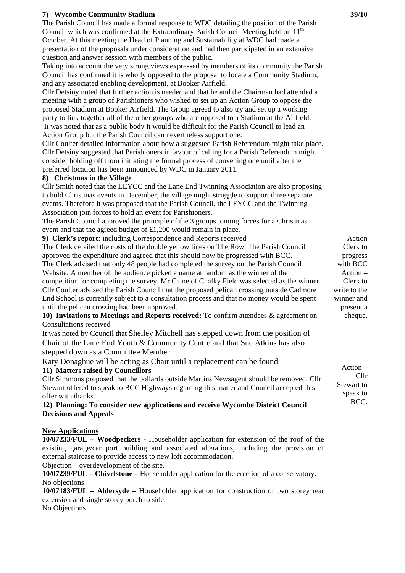| Council which was confirmed at the Extraordinary Parish Council Meeting held on 11 <sup>th</sup><br>October. At this meeting the Head of Planning and Sustainability at WDC had made a<br>presentation of the proposals under consideration and had then participated in an extensive<br>question and answer session with members of the public.<br>Taking into account the very strong views expressed by members of its community the Parish<br>Council has confirmed it is wholly opposed to the proposal to locate a Community Stadium,<br>and any associated enabling development, at Booker Airfield.<br>Cllr Detsiny noted that further action is needed and that he and the Chairman had attended a<br>meeting with a group of Parishioners who wished to set up an Action Group to oppose the<br>proposed Stadium at Booker Airfield. The Group agreed to also try and set up a working<br>party to link together all of the other groups who are opposed to a Stadium at the Airfield.<br>It was noted that as a public body it would be difficult for the Parish Council to lead an<br>Action Group but the Parish Council can nevertheless support one.<br>Cllr Coulter detailed information about how a suggested Parish Referendum might take place.<br>Cllr Detsiny suggested that Parishioners in favour of calling for a Parish Referendum might<br>consider holding off from initiating the formal process of convening one until after the<br>preferred location has been announced by WDC in January 2011.<br>8) Christmas in the Village<br>Cllr Smith noted that the LEYCC and the Lane End Twinning Association are also proposing<br>to hold Christmas events in December, the village might struggle to support three separate<br>events. Therefore it was proposed that the Parish Council, the LEYCC and the Twinning<br>Association join forces to hold an event for Parishioners.<br>The Parish Council approved the principle of the 3 groups joining forces for a Christmas<br>event and that the agreed budget of £1,200 would remain in place.<br>9) Clerk's report: including Correspondence and Reports received<br>Action<br>The Clerk detailed the costs of the double yellow lines on The Row. The Parish Council<br>Clerk to<br>approved the expenditure and agreed that this should now be progressed with BCC.<br>progress<br>The Clerk advised that only 48 people had completed the survey on the Parish Council<br>with BCC<br>Website. A member of the audience picked a name at random as the winner of the<br>$Action -$<br>competition for completing the survey. Mr Caine of Chalky Field was selected as the winner.<br>Clerk to<br>Cllr Coulter advised the Parish Council that the proposed pelican crossing outside Cadmore<br>write to the<br>End School is currently subject to a consultation process and that no money would be spent<br>winner and<br>until the pelican crossing had been approved.<br>present a<br>10) Invitations to Meetings and Reports received: To confirm attendees & agreement on<br>cheque.<br>It was noted by Council that Shelley Mitchell has stepped down from the position of<br>Chair of the Lane End Youth & Community Centre and that Sue Atkins has also<br>stepped down as a Committee Member.<br>Katy Donaghue will be acting as Chair until a replacement can be found.<br>$Action -$<br>11) Matters raised by Councillors<br>Cllr<br>Cllr Simmons proposed that the bollards outside Martins Newsagent should be removed. Cllr<br>Stewart to<br>Stewart offered to speak to BCC Highways regarding this matter and Council accepted this<br>speak to<br>offer with thanks.<br>BCC.<br>12) Planning: To consider new applications and receive Wycombe District Council<br><b>Decisions and Appeals</b> | 7) Wycombe Community Stadium                                                                    | 39/10 |
|-------------------------------------------------------------------------------------------------------------------------------------------------------------------------------------------------------------------------------------------------------------------------------------------------------------------------------------------------------------------------------------------------------------------------------------------------------------------------------------------------------------------------------------------------------------------------------------------------------------------------------------------------------------------------------------------------------------------------------------------------------------------------------------------------------------------------------------------------------------------------------------------------------------------------------------------------------------------------------------------------------------------------------------------------------------------------------------------------------------------------------------------------------------------------------------------------------------------------------------------------------------------------------------------------------------------------------------------------------------------------------------------------------------------------------------------------------------------------------------------------------------------------------------------------------------------------------------------------------------------------------------------------------------------------------------------------------------------------------------------------------------------------------------------------------------------------------------------------------------------------------------------------------------------------------------------------------------------------------------------------------------------------------------------------------------------------------------------------------------------------------------------------------------------------------------------------------------------------------------------------------------------------------------------------------------------------------------------------------------------------------------------------------------------------------------------------------------------------------------------------------------------------------------------------------------------------------------------------------------------------------------------------------------------------------------------------------------------------------------------------------------------------------------------------------------------------------------------------------------------------------------------------------------------------------------------------------------------------------------------------------------------------------------------------------------------------------------------------------------------------------------------------------------------------------------------------------------------------------------------------------------------------------------------------------------------------------------------------------------------------------------------------------------------------------------------------------------------------------------------------------------------------------------------------------------------------------------------------------------------------------------------------------------------------------------------------------------------------------------------------------------------------------------------------------|-------------------------------------------------------------------------------------------------|-------|
|                                                                                                                                                                                                                                                                                                                                                                                                                                                                                                                                                                                                                                                                                                                                                                                                                                                                                                                                                                                                                                                                                                                                                                                                                                                                                                                                                                                                                                                                                                                                                                                                                                                                                                                                                                                                                                                                                                                                                                                                                                                                                                                                                                                                                                                                                                                                                                                                                                                                                                                                                                                                                                                                                                                                                                                                                                                                                                                                                                                                                                                                                                                                                                                                                                                                                                                                                                                                                                                                                                                                                                                                                                                                                                                                                                                                       | The Parish Council has made a formal response to WDC detailing the position of the Parish       |       |
|                                                                                                                                                                                                                                                                                                                                                                                                                                                                                                                                                                                                                                                                                                                                                                                                                                                                                                                                                                                                                                                                                                                                                                                                                                                                                                                                                                                                                                                                                                                                                                                                                                                                                                                                                                                                                                                                                                                                                                                                                                                                                                                                                                                                                                                                                                                                                                                                                                                                                                                                                                                                                                                                                                                                                                                                                                                                                                                                                                                                                                                                                                                                                                                                                                                                                                                                                                                                                                                                                                                                                                                                                                                                                                                                                                                                       |                                                                                                 |       |
|                                                                                                                                                                                                                                                                                                                                                                                                                                                                                                                                                                                                                                                                                                                                                                                                                                                                                                                                                                                                                                                                                                                                                                                                                                                                                                                                                                                                                                                                                                                                                                                                                                                                                                                                                                                                                                                                                                                                                                                                                                                                                                                                                                                                                                                                                                                                                                                                                                                                                                                                                                                                                                                                                                                                                                                                                                                                                                                                                                                                                                                                                                                                                                                                                                                                                                                                                                                                                                                                                                                                                                                                                                                                                                                                                                                                       |                                                                                                 |       |
|                                                                                                                                                                                                                                                                                                                                                                                                                                                                                                                                                                                                                                                                                                                                                                                                                                                                                                                                                                                                                                                                                                                                                                                                                                                                                                                                                                                                                                                                                                                                                                                                                                                                                                                                                                                                                                                                                                                                                                                                                                                                                                                                                                                                                                                                                                                                                                                                                                                                                                                                                                                                                                                                                                                                                                                                                                                                                                                                                                                                                                                                                                                                                                                                                                                                                                                                                                                                                                                                                                                                                                                                                                                                                                                                                                                                       |                                                                                                 |       |
|                                                                                                                                                                                                                                                                                                                                                                                                                                                                                                                                                                                                                                                                                                                                                                                                                                                                                                                                                                                                                                                                                                                                                                                                                                                                                                                                                                                                                                                                                                                                                                                                                                                                                                                                                                                                                                                                                                                                                                                                                                                                                                                                                                                                                                                                                                                                                                                                                                                                                                                                                                                                                                                                                                                                                                                                                                                                                                                                                                                                                                                                                                                                                                                                                                                                                                                                                                                                                                                                                                                                                                                                                                                                                                                                                                                                       |                                                                                                 |       |
|                                                                                                                                                                                                                                                                                                                                                                                                                                                                                                                                                                                                                                                                                                                                                                                                                                                                                                                                                                                                                                                                                                                                                                                                                                                                                                                                                                                                                                                                                                                                                                                                                                                                                                                                                                                                                                                                                                                                                                                                                                                                                                                                                                                                                                                                                                                                                                                                                                                                                                                                                                                                                                                                                                                                                                                                                                                                                                                                                                                                                                                                                                                                                                                                                                                                                                                                                                                                                                                                                                                                                                                                                                                                                                                                                                                                       |                                                                                                 |       |
|                                                                                                                                                                                                                                                                                                                                                                                                                                                                                                                                                                                                                                                                                                                                                                                                                                                                                                                                                                                                                                                                                                                                                                                                                                                                                                                                                                                                                                                                                                                                                                                                                                                                                                                                                                                                                                                                                                                                                                                                                                                                                                                                                                                                                                                                                                                                                                                                                                                                                                                                                                                                                                                                                                                                                                                                                                                                                                                                                                                                                                                                                                                                                                                                                                                                                                                                                                                                                                                                                                                                                                                                                                                                                                                                                                                                       |                                                                                                 |       |
|                                                                                                                                                                                                                                                                                                                                                                                                                                                                                                                                                                                                                                                                                                                                                                                                                                                                                                                                                                                                                                                                                                                                                                                                                                                                                                                                                                                                                                                                                                                                                                                                                                                                                                                                                                                                                                                                                                                                                                                                                                                                                                                                                                                                                                                                                                                                                                                                                                                                                                                                                                                                                                                                                                                                                                                                                                                                                                                                                                                                                                                                                                                                                                                                                                                                                                                                                                                                                                                                                                                                                                                                                                                                                                                                                                                                       |                                                                                                 |       |
|                                                                                                                                                                                                                                                                                                                                                                                                                                                                                                                                                                                                                                                                                                                                                                                                                                                                                                                                                                                                                                                                                                                                                                                                                                                                                                                                                                                                                                                                                                                                                                                                                                                                                                                                                                                                                                                                                                                                                                                                                                                                                                                                                                                                                                                                                                                                                                                                                                                                                                                                                                                                                                                                                                                                                                                                                                                                                                                                                                                                                                                                                                                                                                                                                                                                                                                                                                                                                                                                                                                                                                                                                                                                                                                                                                                                       |                                                                                                 |       |
|                                                                                                                                                                                                                                                                                                                                                                                                                                                                                                                                                                                                                                                                                                                                                                                                                                                                                                                                                                                                                                                                                                                                                                                                                                                                                                                                                                                                                                                                                                                                                                                                                                                                                                                                                                                                                                                                                                                                                                                                                                                                                                                                                                                                                                                                                                                                                                                                                                                                                                                                                                                                                                                                                                                                                                                                                                                                                                                                                                                                                                                                                                                                                                                                                                                                                                                                                                                                                                                                                                                                                                                                                                                                                                                                                                                                       |                                                                                                 |       |
|                                                                                                                                                                                                                                                                                                                                                                                                                                                                                                                                                                                                                                                                                                                                                                                                                                                                                                                                                                                                                                                                                                                                                                                                                                                                                                                                                                                                                                                                                                                                                                                                                                                                                                                                                                                                                                                                                                                                                                                                                                                                                                                                                                                                                                                                                                                                                                                                                                                                                                                                                                                                                                                                                                                                                                                                                                                                                                                                                                                                                                                                                                                                                                                                                                                                                                                                                                                                                                                                                                                                                                                                                                                                                                                                                                                                       |                                                                                                 |       |
|                                                                                                                                                                                                                                                                                                                                                                                                                                                                                                                                                                                                                                                                                                                                                                                                                                                                                                                                                                                                                                                                                                                                                                                                                                                                                                                                                                                                                                                                                                                                                                                                                                                                                                                                                                                                                                                                                                                                                                                                                                                                                                                                                                                                                                                                                                                                                                                                                                                                                                                                                                                                                                                                                                                                                                                                                                                                                                                                                                                                                                                                                                                                                                                                                                                                                                                                                                                                                                                                                                                                                                                                                                                                                                                                                                                                       |                                                                                                 |       |
|                                                                                                                                                                                                                                                                                                                                                                                                                                                                                                                                                                                                                                                                                                                                                                                                                                                                                                                                                                                                                                                                                                                                                                                                                                                                                                                                                                                                                                                                                                                                                                                                                                                                                                                                                                                                                                                                                                                                                                                                                                                                                                                                                                                                                                                                                                                                                                                                                                                                                                                                                                                                                                                                                                                                                                                                                                                                                                                                                                                                                                                                                                                                                                                                                                                                                                                                                                                                                                                                                                                                                                                                                                                                                                                                                                                                       |                                                                                                 |       |
|                                                                                                                                                                                                                                                                                                                                                                                                                                                                                                                                                                                                                                                                                                                                                                                                                                                                                                                                                                                                                                                                                                                                                                                                                                                                                                                                                                                                                                                                                                                                                                                                                                                                                                                                                                                                                                                                                                                                                                                                                                                                                                                                                                                                                                                                                                                                                                                                                                                                                                                                                                                                                                                                                                                                                                                                                                                                                                                                                                                                                                                                                                                                                                                                                                                                                                                                                                                                                                                                                                                                                                                                                                                                                                                                                                                                       |                                                                                                 |       |
|                                                                                                                                                                                                                                                                                                                                                                                                                                                                                                                                                                                                                                                                                                                                                                                                                                                                                                                                                                                                                                                                                                                                                                                                                                                                                                                                                                                                                                                                                                                                                                                                                                                                                                                                                                                                                                                                                                                                                                                                                                                                                                                                                                                                                                                                                                                                                                                                                                                                                                                                                                                                                                                                                                                                                                                                                                                                                                                                                                                                                                                                                                                                                                                                                                                                                                                                                                                                                                                                                                                                                                                                                                                                                                                                                                                                       |                                                                                                 |       |
|                                                                                                                                                                                                                                                                                                                                                                                                                                                                                                                                                                                                                                                                                                                                                                                                                                                                                                                                                                                                                                                                                                                                                                                                                                                                                                                                                                                                                                                                                                                                                                                                                                                                                                                                                                                                                                                                                                                                                                                                                                                                                                                                                                                                                                                                                                                                                                                                                                                                                                                                                                                                                                                                                                                                                                                                                                                                                                                                                                                                                                                                                                                                                                                                                                                                                                                                                                                                                                                                                                                                                                                                                                                                                                                                                                                                       |                                                                                                 |       |
|                                                                                                                                                                                                                                                                                                                                                                                                                                                                                                                                                                                                                                                                                                                                                                                                                                                                                                                                                                                                                                                                                                                                                                                                                                                                                                                                                                                                                                                                                                                                                                                                                                                                                                                                                                                                                                                                                                                                                                                                                                                                                                                                                                                                                                                                                                                                                                                                                                                                                                                                                                                                                                                                                                                                                                                                                                                                                                                                                                                                                                                                                                                                                                                                                                                                                                                                                                                                                                                                                                                                                                                                                                                                                                                                                                                                       |                                                                                                 |       |
|                                                                                                                                                                                                                                                                                                                                                                                                                                                                                                                                                                                                                                                                                                                                                                                                                                                                                                                                                                                                                                                                                                                                                                                                                                                                                                                                                                                                                                                                                                                                                                                                                                                                                                                                                                                                                                                                                                                                                                                                                                                                                                                                                                                                                                                                                                                                                                                                                                                                                                                                                                                                                                                                                                                                                                                                                                                                                                                                                                                                                                                                                                                                                                                                                                                                                                                                                                                                                                                                                                                                                                                                                                                                                                                                                                                                       |                                                                                                 |       |
|                                                                                                                                                                                                                                                                                                                                                                                                                                                                                                                                                                                                                                                                                                                                                                                                                                                                                                                                                                                                                                                                                                                                                                                                                                                                                                                                                                                                                                                                                                                                                                                                                                                                                                                                                                                                                                                                                                                                                                                                                                                                                                                                                                                                                                                                                                                                                                                                                                                                                                                                                                                                                                                                                                                                                                                                                                                                                                                                                                                                                                                                                                                                                                                                                                                                                                                                                                                                                                                                                                                                                                                                                                                                                                                                                                                                       |                                                                                                 |       |
|                                                                                                                                                                                                                                                                                                                                                                                                                                                                                                                                                                                                                                                                                                                                                                                                                                                                                                                                                                                                                                                                                                                                                                                                                                                                                                                                                                                                                                                                                                                                                                                                                                                                                                                                                                                                                                                                                                                                                                                                                                                                                                                                                                                                                                                                                                                                                                                                                                                                                                                                                                                                                                                                                                                                                                                                                                                                                                                                                                                                                                                                                                                                                                                                                                                                                                                                                                                                                                                                                                                                                                                                                                                                                                                                                                                                       |                                                                                                 |       |
|                                                                                                                                                                                                                                                                                                                                                                                                                                                                                                                                                                                                                                                                                                                                                                                                                                                                                                                                                                                                                                                                                                                                                                                                                                                                                                                                                                                                                                                                                                                                                                                                                                                                                                                                                                                                                                                                                                                                                                                                                                                                                                                                                                                                                                                                                                                                                                                                                                                                                                                                                                                                                                                                                                                                                                                                                                                                                                                                                                                                                                                                                                                                                                                                                                                                                                                                                                                                                                                                                                                                                                                                                                                                                                                                                                                                       |                                                                                                 |       |
|                                                                                                                                                                                                                                                                                                                                                                                                                                                                                                                                                                                                                                                                                                                                                                                                                                                                                                                                                                                                                                                                                                                                                                                                                                                                                                                                                                                                                                                                                                                                                                                                                                                                                                                                                                                                                                                                                                                                                                                                                                                                                                                                                                                                                                                                                                                                                                                                                                                                                                                                                                                                                                                                                                                                                                                                                                                                                                                                                                                                                                                                                                                                                                                                                                                                                                                                                                                                                                                                                                                                                                                                                                                                                                                                                                                                       |                                                                                                 |       |
|                                                                                                                                                                                                                                                                                                                                                                                                                                                                                                                                                                                                                                                                                                                                                                                                                                                                                                                                                                                                                                                                                                                                                                                                                                                                                                                                                                                                                                                                                                                                                                                                                                                                                                                                                                                                                                                                                                                                                                                                                                                                                                                                                                                                                                                                                                                                                                                                                                                                                                                                                                                                                                                                                                                                                                                                                                                                                                                                                                                                                                                                                                                                                                                                                                                                                                                                                                                                                                                                                                                                                                                                                                                                                                                                                                                                       |                                                                                                 |       |
|                                                                                                                                                                                                                                                                                                                                                                                                                                                                                                                                                                                                                                                                                                                                                                                                                                                                                                                                                                                                                                                                                                                                                                                                                                                                                                                                                                                                                                                                                                                                                                                                                                                                                                                                                                                                                                                                                                                                                                                                                                                                                                                                                                                                                                                                                                                                                                                                                                                                                                                                                                                                                                                                                                                                                                                                                                                                                                                                                                                                                                                                                                                                                                                                                                                                                                                                                                                                                                                                                                                                                                                                                                                                                                                                                                                                       |                                                                                                 |       |
|                                                                                                                                                                                                                                                                                                                                                                                                                                                                                                                                                                                                                                                                                                                                                                                                                                                                                                                                                                                                                                                                                                                                                                                                                                                                                                                                                                                                                                                                                                                                                                                                                                                                                                                                                                                                                                                                                                                                                                                                                                                                                                                                                                                                                                                                                                                                                                                                                                                                                                                                                                                                                                                                                                                                                                                                                                                                                                                                                                                                                                                                                                                                                                                                                                                                                                                                                                                                                                                                                                                                                                                                                                                                                                                                                                                                       |                                                                                                 |       |
|                                                                                                                                                                                                                                                                                                                                                                                                                                                                                                                                                                                                                                                                                                                                                                                                                                                                                                                                                                                                                                                                                                                                                                                                                                                                                                                                                                                                                                                                                                                                                                                                                                                                                                                                                                                                                                                                                                                                                                                                                                                                                                                                                                                                                                                                                                                                                                                                                                                                                                                                                                                                                                                                                                                                                                                                                                                                                                                                                                                                                                                                                                                                                                                                                                                                                                                                                                                                                                                                                                                                                                                                                                                                                                                                                                                                       |                                                                                                 |       |
|                                                                                                                                                                                                                                                                                                                                                                                                                                                                                                                                                                                                                                                                                                                                                                                                                                                                                                                                                                                                                                                                                                                                                                                                                                                                                                                                                                                                                                                                                                                                                                                                                                                                                                                                                                                                                                                                                                                                                                                                                                                                                                                                                                                                                                                                                                                                                                                                                                                                                                                                                                                                                                                                                                                                                                                                                                                                                                                                                                                                                                                                                                                                                                                                                                                                                                                                                                                                                                                                                                                                                                                                                                                                                                                                                                                                       |                                                                                                 |       |
|                                                                                                                                                                                                                                                                                                                                                                                                                                                                                                                                                                                                                                                                                                                                                                                                                                                                                                                                                                                                                                                                                                                                                                                                                                                                                                                                                                                                                                                                                                                                                                                                                                                                                                                                                                                                                                                                                                                                                                                                                                                                                                                                                                                                                                                                                                                                                                                                                                                                                                                                                                                                                                                                                                                                                                                                                                                                                                                                                                                                                                                                                                                                                                                                                                                                                                                                                                                                                                                                                                                                                                                                                                                                                                                                                                                                       |                                                                                                 |       |
|                                                                                                                                                                                                                                                                                                                                                                                                                                                                                                                                                                                                                                                                                                                                                                                                                                                                                                                                                                                                                                                                                                                                                                                                                                                                                                                                                                                                                                                                                                                                                                                                                                                                                                                                                                                                                                                                                                                                                                                                                                                                                                                                                                                                                                                                                                                                                                                                                                                                                                                                                                                                                                                                                                                                                                                                                                                                                                                                                                                                                                                                                                                                                                                                                                                                                                                                                                                                                                                                                                                                                                                                                                                                                                                                                                                                       |                                                                                                 |       |
|                                                                                                                                                                                                                                                                                                                                                                                                                                                                                                                                                                                                                                                                                                                                                                                                                                                                                                                                                                                                                                                                                                                                                                                                                                                                                                                                                                                                                                                                                                                                                                                                                                                                                                                                                                                                                                                                                                                                                                                                                                                                                                                                                                                                                                                                                                                                                                                                                                                                                                                                                                                                                                                                                                                                                                                                                                                                                                                                                                                                                                                                                                                                                                                                                                                                                                                                                                                                                                                                                                                                                                                                                                                                                                                                                                                                       |                                                                                                 |       |
|                                                                                                                                                                                                                                                                                                                                                                                                                                                                                                                                                                                                                                                                                                                                                                                                                                                                                                                                                                                                                                                                                                                                                                                                                                                                                                                                                                                                                                                                                                                                                                                                                                                                                                                                                                                                                                                                                                                                                                                                                                                                                                                                                                                                                                                                                                                                                                                                                                                                                                                                                                                                                                                                                                                                                                                                                                                                                                                                                                                                                                                                                                                                                                                                                                                                                                                                                                                                                                                                                                                                                                                                                                                                                                                                                                                                       |                                                                                                 |       |
|                                                                                                                                                                                                                                                                                                                                                                                                                                                                                                                                                                                                                                                                                                                                                                                                                                                                                                                                                                                                                                                                                                                                                                                                                                                                                                                                                                                                                                                                                                                                                                                                                                                                                                                                                                                                                                                                                                                                                                                                                                                                                                                                                                                                                                                                                                                                                                                                                                                                                                                                                                                                                                                                                                                                                                                                                                                                                                                                                                                                                                                                                                                                                                                                                                                                                                                                                                                                                                                                                                                                                                                                                                                                                                                                                                                                       |                                                                                                 |       |
|                                                                                                                                                                                                                                                                                                                                                                                                                                                                                                                                                                                                                                                                                                                                                                                                                                                                                                                                                                                                                                                                                                                                                                                                                                                                                                                                                                                                                                                                                                                                                                                                                                                                                                                                                                                                                                                                                                                                                                                                                                                                                                                                                                                                                                                                                                                                                                                                                                                                                                                                                                                                                                                                                                                                                                                                                                                                                                                                                                                                                                                                                                                                                                                                                                                                                                                                                                                                                                                                                                                                                                                                                                                                                                                                                                                                       |                                                                                                 |       |
|                                                                                                                                                                                                                                                                                                                                                                                                                                                                                                                                                                                                                                                                                                                                                                                                                                                                                                                                                                                                                                                                                                                                                                                                                                                                                                                                                                                                                                                                                                                                                                                                                                                                                                                                                                                                                                                                                                                                                                                                                                                                                                                                                                                                                                                                                                                                                                                                                                                                                                                                                                                                                                                                                                                                                                                                                                                                                                                                                                                                                                                                                                                                                                                                                                                                                                                                                                                                                                                                                                                                                                                                                                                                                                                                                                                                       |                                                                                                 |       |
|                                                                                                                                                                                                                                                                                                                                                                                                                                                                                                                                                                                                                                                                                                                                                                                                                                                                                                                                                                                                                                                                                                                                                                                                                                                                                                                                                                                                                                                                                                                                                                                                                                                                                                                                                                                                                                                                                                                                                                                                                                                                                                                                                                                                                                                                                                                                                                                                                                                                                                                                                                                                                                                                                                                                                                                                                                                                                                                                                                                                                                                                                                                                                                                                                                                                                                                                                                                                                                                                                                                                                                                                                                                                                                                                                                                                       | Consultations received                                                                          |       |
|                                                                                                                                                                                                                                                                                                                                                                                                                                                                                                                                                                                                                                                                                                                                                                                                                                                                                                                                                                                                                                                                                                                                                                                                                                                                                                                                                                                                                                                                                                                                                                                                                                                                                                                                                                                                                                                                                                                                                                                                                                                                                                                                                                                                                                                                                                                                                                                                                                                                                                                                                                                                                                                                                                                                                                                                                                                                                                                                                                                                                                                                                                                                                                                                                                                                                                                                                                                                                                                                                                                                                                                                                                                                                                                                                                                                       |                                                                                                 |       |
|                                                                                                                                                                                                                                                                                                                                                                                                                                                                                                                                                                                                                                                                                                                                                                                                                                                                                                                                                                                                                                                                                                                                                                                                                                                                                                                                                                                                                                                                                                                                                                                                                                                                                                                                                                                                                                                                                                                                                                                                                                                                                                                                                                                                                                                                                                                                                                                                                                                                                                                                                                                                                                                                                                                                                                                                                                                                                                                                                                                                                                                                                                                                                                                                                                                                                                                                                                                                                                                                                                                                                                                                                                                                                                                                                                                                       |                                                                                                 |       |
|                                                                                                                                                                                                                                                                                                                                                                                                                                                                                                                                                                                                                                                                                                                                                                                                                                                                                                                                                                                                                                                                                                                                                                                                                                                                                                                                                                                                                                                                                                                                                                                                                                                                                                                                                                                                                                                                                                                                                                                                                                                                                                                                                                                                                                                                                                                                                                                                                                                                                                                                                                                                                                                                                                                                                                                                                                                                                                                                                                                                                                                                                                                                                                                                                                                                                                                                                                                                                                                                                                                                                                                                                                                                                                                                                                                                       |                                                                                                 |       |
|                                                                                                                                                                                                                                                                                                                                                                                                                                                                                                                                                                                                                                                                                                                                                                                                                                                                                                                                                                                                                                                                                                                                                                                                                                                                                                                                                                                                                                                                                                                                                                                                                                                                                                                                                                                                                                                                                                                                                                                                                                                                                                                                                                                                                                                                                                                                                                                                                                                                                                                                                                                                                                                                                                                                                                                                                                                                                                                                                                                                                                                                                                                                                                                                                                                                                                                                                                                                                                                                                                                                                                                                                                                                                                                                                                                                       |                                                                                                 |       |
|                                                                                                                                                                                                                                                                                                                                                                                                                                                                                                                                                                                                                                                                                                                                                                                                                                                                                                                                                                                                                                                                                                                                                                                                                                                                                                                                                                                                                                                                                                                                                                                                                                                                                                                                                                                                                                                                                                                                                                                                                                                                                                                                                                                                                                                                                                                                                                                                                                                                                                                                                                                                                                                                                                                                                                                                                                                                                                                                                                                                                                                                                                                                                                                                                                                                                                                                                                                                                                                                                                                                                                                                                                                                                                                                                                                                       |                                                                                                 |       |
|                                                                                                                                                                                                                                                                                                                                                                                                                                                                                                                                                                                                                                                                                                                                                                                                                                                                                                                                                                                                                                                                                                                                                                                                                                                                                                                                                                                                                                                                                                                                                                                                                                                                                                                                                                                                                                                                                                                                                                                                                                                                                                                                                                                                                                                                                                                                                                                                                                                                                                                                                                                                                                                                                                                                                                                                                                                                                                                                                                                                                                                                                                                                                                                                                                                                                                                                                                                                                                                                                                                                                                                                                                                                                                                                                                                                       |                                                                                                 |       |
|                                                                                                                                                                                                                                                                                                                                                                                                                                                                                                                                                                                                                                                                                                                                                                                                                                                                                                                                                                                                                                                                                                                                                                                                                                                                                                                                                                                                                                                                                                                                                                                                                                                                                                                                                                                                                                                                                                                                                                                                                                                                                                                                                                                                                                                                                                                                                                                                                                                                                                                                                                                                                                                                                                                                                                                                                                                                                                                                                                                                                                                                                                                                                                                                                                                                                                                                                                                                                                                                                                                                                                                                                                                                                                                                                                                                       |                                                                                                 |       |
|                                                                                                                                                                                                                                                                                                                                                                                                                                                                                                                                                                                                                                                                                                                                                                                                                                                                                                                                                                                                                                                                                                                                                                                                                                                                                                                                                                                                                                                                                                                                                                                                                                                                                                                                                                                                                                                                                                                                                                                                                                                                                                                                                                                                                                                                                                                                                                                                                                                                                                                                                                                                                                                                                                                                                                                                                                                                                                                                                                                                                                                                                                                                                                                                                                                                                                                                                                                                                                                                                                                                                                                                                                                                                                                                                                                                       |                                                                                                 |       |
|                                                                                                                                                                                                                                                                                                                                                                                                                                                                                                                                                                                                                                                                                                                                                                                                                                                                                                                                                                                                                                                                                                                                                                                                                                                                                                                                                                                                                                                                                                                                                                                                                                                                                                                                                                                                                                                                                                                                                                                                                                                                                                                                                                                                                                                                                                                                                                                                                                                                                                                                                                                                                                                                                                                                                                                                                                                                                                                                                                                                                                                                                                                                                                                                                                                                                                                                                                                                                                                                                                                                                                                                                                                                                                                                                                                                       |                                                                                                 |       |
|                                                                                                                                                                                                                                                                                                                                                                                                                                                                                                                                                                                                                                                                                                                                                                                                                                                                                                                                                                                                                                                                                                                                                                                                                                                                                                                                                                                                                                                                                                                                                                                                                                                                                                                                                                                                                                                                                                                                                                                                                                                                                                                                                                                                                                                                                                                                                                                                                                                                                                                                                                                                                                                                                                                                                                                                                                                                                                                                                                                                                                                                                                                                                                                                                                                                                                                                                                                                                                                                                                                                                                                                                                                                                                                                                                                                       |                                                                                                 |       |
|                                                                                                                                                                                                                                                                                                                                                                                                                                                                                                                                                                                                                                                                                                                                                                                                                                                                                                                                                                                                                                                                                                                                                                                                                                                                                                                                                                                                                                                                                                                                                                                                                                                                                                                                                                                                                                                                                                                                                                                                                                                                                                                                                                                                                                                                                                                                                                                                                                                                                                                                                                                                                                                                                                                                                                                                                                                                                                                                                                                                                                                                                                                                                                                                                                                                                                                                                                                                                                                                                                                                                                                                                                                                                                                                                                                                       |                                                                                                 |       |
|                                                                                                                                                                                                                                                                                                                                                                                                                                                                                                                                                                                                                                                                                                                                                                                                                                                                                                                                                                                                                                                                                                                                                                                                                                                                                                                                                                                                                                                                                                                                                                                                                                                                                                                                                                                                                                                                                                                                                                                                                                                                                                                                                                                                                                                                                                                                                                                                                                                                                                                                                                                                                                                                                                                                                                                                                                                                                                                                                                                                                                                                                                                                                                                                                                                                                                                                                                                                                                                                                                                                                                                                                                                                                                                                                                                                       | <b>New Applications</b>                                                                         |       |
|                                                                                                                                                                                                                                                                                                                                                                                                                                                                                                                                                                                                                                                                                                                                                                                                                                                                                                                                                                                                                                                                                                                                                                                                                                                                                                                                                                                                                                                                                                                                                                                                                                                                                                                                                                                                                                                                                                                                                                                                                                                                                                                                                                                                                                                                                                                                                                                                                                                                                                                                                                                                                                                                                                                                                                                                                                                                                                                                                                                                                                                                                                                                                                                                                                                                                                                                                                                                                                                                                                                                                                                                                                                                                                                                                                                                       | 10/07233/FUL – Woodpeckers - Householder application for extension of the roof of the           |       |
|                                                                                                                                                                                                                                                                                                                                                                                                                                                                                                                                                                                                                                                                                                                                                                                                                                                                                                                                                                                                                                                                                                                                                                                                                                                                                                                                                                                                                                                                                                                                                                                                                                                                                                                                                                                                                                                                                                                                                                                                                                                                                                                                                                                                                                                                                                                                                                                                                                                                                                                                                                                                                                                                                                                                                                                                                                                                                                                                                                                                                                                                                                                                                                                                                                                                                                                                                                                                                                                                                                                                                                                                                                                                                                                                                                                                       | existing garage/car port building and associated alterations, including the provision of        |       |
|                                                                                                                                                                                                                                                                                                                                                                                                                                                                                                                                                                                                                                                                                                                                                                                                                                                                                                                                                                                                                                                                                                                                                                                                                                                                                                                                                                                                                                                                                                                                                                                                                                                                                                                                                                                                                                                                                                                                                                                                                                                                                                                                                                                                                                                                                                                                                                                                                                                                                                                                                                                                                                                                                                                                                                                                                                                                                                                                                                                                                                                                                                                                                                                                                                                                                                                                                                                                                                                                                                                                                                                                                                                                                                                                                                                                       | external staircase to provide access to new loft accommodation.                                 |       |
|                                                                                                                                                                                                                                                                                                                                                                                                                                                                                                                                                                                                                                                                                                                                                                                                                                                                                                                                                                                                                                                                                                                                                                                                                                                                                                                                                                                                                                                                                                                                                                                                                                                                                                                                                                                                                                                                                                                                                                                                                                                                                                                                                                                                                                                                                                                                                                                                                                                                                                                                                                                                                                                                                                                                                                                                                                                                                                                                                                                                                                                                                                                                                                                                                                                                                                                                                                                                                                                                                                                                                                                                                                                                                                                                                                                                       | Objection – overdevelopment of the site.                                                        |       |
|                                                                                                                                                                                                                                                                                                                                                                                                                                                                                                                                                                                                                                                                                                                                                                                                                                                                                                                                                                                                                                                                                                                                                                                                                                                                                                                                                                                                                                                                                                                                                                                                                                                                                                                                                                                                                                                                                                                                                                                                                                                                                                                                                                                                                                                                                                                                                                                                                                                                                                                                                                                                                                                                                                                                                                                                                                                                                                                                                                                                                                                                                                                                                                                                                                                                                                                                                                                                                                                                                                                                                                                                                                                                                                                                                                                                       | <b>10/07239/FUL</b> – Chivelstone – Householder application for the erection of a conservatory. |       |
|                                                                                                                                                                                                                                                                                                                                                                                                                                                                                                                                                                                                                                                                                                                                                                                                                                                                                                                                                                                                                                                                                                                                                                                                                                                                                                                                                                                                                                                                                                                                                                                                                                                                                                                                                                                                                                                                                                                                                                                                                                                                                                                                                                                                                                                                                                                                                                                                                                                                                                                                                                                                                                                                                                                                                                                                                                                                                                                                                                                                                                                                                                                                                                                                                                                                                                                                                                                                                                                                                                                                                                                                                                                                                                                                                                                                       | No objections                                                                                   |       |
|                                                                                                                                                                                                                                                                                                                                                                                                                                                                                                                                                                                                                                                                                                                                                                                                                                                                                                                                                                                                                                                                                                                                                                                                                                                                                                                                                                                                                                                                                                                                                                                                                                                                                                                                                                                                                                                                                                                                                                                                                                                                                                                                                                                                                                                                                                                                                                                                                                                                                                                                                                                                                                                                                                                                                                                                                                                                                                                                                                                                                                                                                                                                                                                                                                                                                                                                                                                                                                                                                                                                                                                                                                                                                                                                                                                                       | $10/07183/FUL$ – Aldersyde – Householder application for construction of two storey rear        |       |
|                                                                                                                                                                                                                                                                                                                                                                                                                                                                                                                                                                                                                                                                                                                                                                                                                                                                                                                                                                                                                                                                                                                                                                                                                                                                                                                                                                                                                                                                                                                                                                                                                                                                                                                                                                                                                                                                                                                                                                                                                                                                                                                                                                                                                                                                                                                                                                                                                                                                                                                                                                                                                                                                                                                                                                                                                                                                                                                                                                                                                                                                                                                                                                                                                                                                                                                                                                                                                                                                                                                                                                                                                                                                                                                                                                                                       | extension and single storey porch to side.                                                      |       |
|                                                                                                                                                                                                                                                                                                                                                                                                                                                                                                                                                                                                                                                                                                                                                                                                                                                                                                                                                                                                                                                                                                                                                                                                                                                                                                                                                                                                                                                                                                                                                                                                                                                                                                                                                                                                                                                                                                                                                                                                                                                                                                                                                                                                                                                                                                                                                                                                                                                                                                                                                                                                                                                                                                                                                                                                                                                                                                                                                                                                                                                                                                                                                                                                                                                                                                                                                                                                                                                                                                                                                                                                                                                                                                                                                                                                       | No Objections                                                                                   |       |